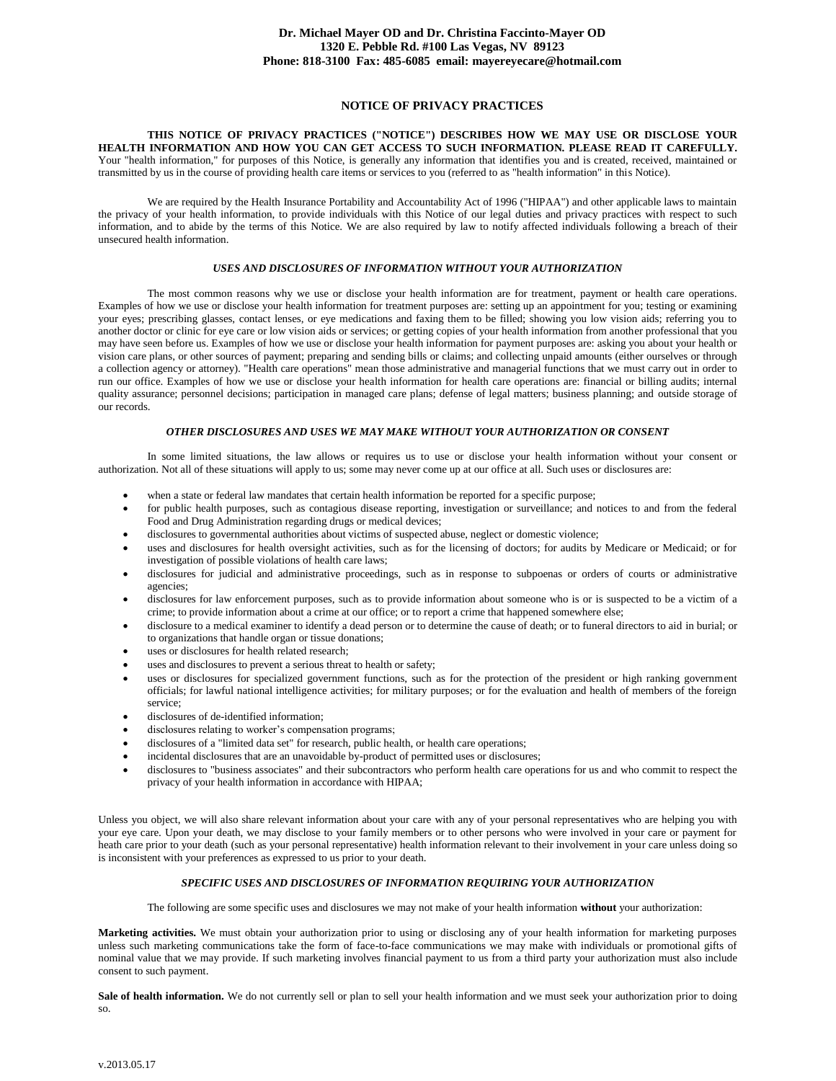# **Dr. Michael Mayer OD and Dr. Christina Faccinto-Mayer OD 1320 E. Pebble Rd. #100 Las Vegas, NV 89123 Phone: 818-3100 Fax: 485-6085 email: mayereyecare@hotmail.com**

# **NOTICE OF PRIVACY PRACTICES**

**THIS NOTICE OF PRIVACY PRACTICES ("NOTICE") DESCRIBES HOW WE MAY USE OR DISCLOSE YOUR HEALTH INFORMATION AND HOW YOU CAN GET ACCESS TO SUCH INFORMATION. PLEASE READ IT CAREFULLY.** Your "health information," for purposes of this Notice, is generally any information that identifies you and is created, received, maintained or transmitted by us in the course of providing health care items or services to you (referred to as "health information" in this Notice).

We are required by the Health Insurance Portability and Accountability Act of 1996 ("HIPAA") and other applicable laws to maintain the privacy of your health information, to provide individuals with this Notice of our legal duties and privacy practices with respect to such information, and to abide by the terms of this Notice. We are also required by law to notify affected individuals following a breach of their unsecured health information.

# *USES AND DISCLOSURES OF INFORMATION WITHOUT YOUR AUTHORIZATION*

The most common reasons why we use or disclose your health information are for treatment, payment or health care operations. Examples of how we use or disclose your health information for treatment purposes are: setting up an appointment for you; testing or examining your eyes; prescribing glasses, contact lenses, or eye medications and faxing them to be filled; showing you low vision aids; referring you to another doctor or clinic for eye care or low vision aids or services; or getting copies of your health information from another professional that you may have seen before us. Examples of how we use or disclose your health information for payment purposes are: asking you about your health or vision care plans, or other sources of payment; preparing and sending bills or claims; and collecting unpaid amounts (either ourselves or through a collection agency or attorney). "Health care operations" mean those administrative and managerial functions that we must carry out in order to run our office. Examples of how we use or disclose your health information for health care operations are: financial or billing audits; internal quality assurance; personnel decisions; participation in managed care plans; defense of legal matters; business planning; and outside storage of our records.

#### *OTHER DISCLOSURES AND USES WE MAY MAKE WITHOUT YOUR AUTHORIZATION OR CONSENT*

In some limited situations, the law allows or requires us to use or disclose your health information without your consent or authorization. Not all of these situations will apply to us; some may never come up at our office at all. Such uses or disclosures are:

- when a state or federal law mandates that certain health information be reported for a specific purpose;
- for public health purposes, such as contagious disease reporting, investigation or surveillance; and notices to and from the federal Food and Drug Administration regarding drugs or medical devices;
- disclosures to governmental authorities about victims of suspected abuse, neglect or domestic violence;
- uses and disclosures for health oversight activities, such as for the licensing of doctors; for audits by Medicare or Medicaid; or for investigation of possible violations of health care laws;
- disclosures for judicial and administrative proceedings, such as in response to subpoenas or orders of courts or administrative agencies;
- disclosures for law enforcement purposes, such as to provide information about someone who is or is suspected to be a victim of a crime; to provide information about a crime at our office; or to report a crime that happened somewhere else;
- disclosure to a medical examiner to identify a dead person or to determine the cause of death; or to funeral directors to aid in burial; or to organizations that handle organ or tissue donations;
- uses or disclosures for health related research;
- uses and disclosures to prevent a serious threat to health or safety;
- uses or disclosures for specialized government functions, such as for the protection of the president or high ranking government officials; for lawful national intelligence activities; for military purposes; or for the evaluation and health of members of the foreign service;
- disclosures of de-identified information;
- disclosures relating to worker's compensation programs;
- disclosures of a "limited data set" for research, public health, or health care operations;
- incidental disclosures that are an unavoidable by-product of permitted uses or disclosures;
- disclosures to "business associates" and their subcontractors who perform health care operations for us and who commit to respect the privacy of your health information in accordance with HIPAA;

Unless you object, we will also share relevant information about your care with any of your personal representatives who are helping you with your eye care. Upon your death, we may disclose to your family members or to other persons who were involved in your care or payment for heath care prior to your death (such as your personal representative) health information relevant to their involvement in your care unless doing so is inconsistent with your preferences as expressed to us prior to your death.

#### *SPECIFIC USES AND DISCLOSURES OF INFORMATION REQUIRING YOUR AUTHORIZATION*

The following are some specific uses and disclosures we may not make of your health information **without** your authorization:

**Marketing activities.** We must obtain your authorization prior to using or disclosing any of your health information for marketing purposes unless such marketing communications take the form of face-to-face communications we may make with individuals or promotional gifts of nominal value that we may provide. If such marketing involves financial payment to us from a third party your authorization must also include consent to such payment.

**Sale of health information.** We do not currently sell or plan to sell your health information and we must seek your authorization prior to doing so.